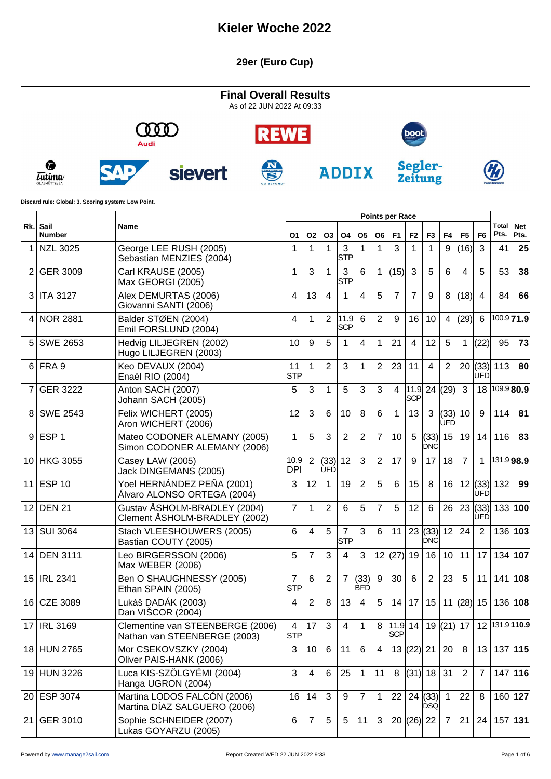#### **29er (Euro Cup)**

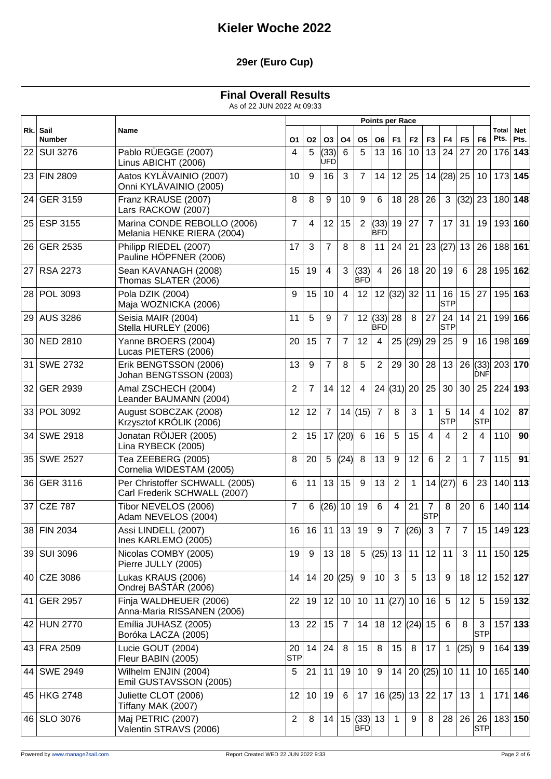### **29er (Euro Cup)**

### **Final Overall Results**

|                 |                       |                                                                |                  |                |                  |                |                       |                         | <b>Points per Race</b> |                      |                              |                  |                |                         |                      |                    |
|-----------------|-----------------------|----------------------------------------------------------------|------------------|----------------|------------------|----------------|-----------------------|-------------------------|------------------------|----------------------|------------------------------|------------------|----------------|-------------------------|----------------------|--------------------|
| Rk.l            | Sail<br><b>Number</b> | Name                                                           | O1               | <b>O2</b>      | O3               | O <sub>4</sub> | Ο5                    | O6                      | F <sub>1</sub>         | F <sub>2</sub>       | F <sub>3</sub>               | F <sub>4</sub>   | F <sub>5</sub> | F <sub>6</sub>          | <b>Total</b><br>Pts. | <b>Net</b><br>Pts. |
| 22 l            | <b>SUI 3276</b>       | Pablo RÜEGGE (2007)<br>Linus ABICHT (2006)                     | 4                | 5              | (33)<br>UFD      | 6              | 5                     | 13                      | 16                     | 10                   | 13                           | 24               | 27             | 20                      | 176 143              |                    |
| 23 <sub>1</sub> | <b>FIN 2809</b>       | Aatos KYLÄVAINIO (2007)<br>Onni KYLÄVAINIO (2005)              | 10               | 9              | 16               | 3              | $\overline{7}$        | 14                      | 12                     | 25                   | 14                           | $(28)$ 25        |                | 10                      | 173 145              |                    |
| 24              | <b>GER 3159</b>       | Franz KRAUSE (2007)<br>Lars RACKOW (2007)                      | 8                | 8              | 9                | 10             | 9                     | 6                       | 18                     | 28                   | 26                           | 3                | (32)           | 23                      |                      | 180 148            |
| 25 I            | <b>ESP 3155</b>       | Marina CONDE REBOLLO (2006)<br>Melania HENKE RIERA (2004)      | 7                | 4              | 12               | 15             | 2                     | (33)<br><b>BFD</b>      | 19                     | 27                   | $\overline{7}$               | 17               | 31             | 19                      | 193 160              |                    |
| 26              | <b>GER 2535</b>       | Philipp RIEDEL (2007)<br>Pauline HÖPFNER (2006)                | 17               | 3              | $\overline{7}$   | 8              | 8                     | 11                      | 24                     | 21                   | 23                           | (27)             | 13             | 26                      | 188 161              |                    |
| 27              | <b>RSA 2273</b>       | Sean KAVANAGH (2008)<br>Thomas SLATER (2006)                   | 15               | 19             | 4                | 3              | (33)<br><b>BFD</b>    | $\overline{4}$          | 26                     | 18                   | 20                           | 19               | 6              | 28                      |                      | 195 162            |
| 28              | POL 3093              | Pola DZIK (2004)<br>Maja WOZNICKA (2006)                       | 9                | 15             | 10               | 4              | 12                    |                         | 12  (32)  32           |                      | 11                           | 16<br><b>STP</b> | 15             | 27                      |                      | 195 163            |
| 29              | <b>AUS 3286</b>       | Seisia MAIR (2004)<br>Stella HURLEY (2006)                     | 11               | 5              | 9                | 7              |                       | 12  (33) <br><b>BFD</b> | 28                     | 8                    | 27                           | 24<br><b>STP</b> | 14             | 21                      |                      | 199 166            |
| 30 <sup>1</sup> | <b>NED 2810</b>       | Yanne BROERS (2004)<br>Lucas PIETERS (2006)                    | 20               | 15             | 7                | 7              | 12                    | 4                       | 25                     | (29) 29              |                              | 25               | 9              | 16                      | 198 169              |                    |
| 31              | <b>SWE 2732</b>       | Erik BENGTSSON (2006)<br>Johan BENGTSSON (2003)                | 13               | 9              | $\overline{7}$   | 8              | 5                     | 2                       | 29                     | 30                   | 28                           | 13               |                | $26$ (33)<br><b>DNF</b> | 203 170              |                    |
| 32              | <b>GER 2939</b>       | Amal ZSCHECH (2004)<br>Leander BAUMANN (2004)                  | 2                | $\overline{7}$ | 14               | 12             | $\overline{4}$        |                         | 24   (31)              | 20                   | 25                           | 30               | 30             | 25                      | $224$ 193            |                    |
| 33              | POL 3092              | August SOBCZAK (2008)<br>Krzysztof KRÓLIK (2006)               | 12               | 12             | $\overline{7}$   |                | 14(15)                | $\overline{7}$          | 8                      | 3                    | 1                            | 5<br><b>STP</b>  | 14             | 4<br><b>STP</b>         | 102                  | 87                 |
| 34              | <b>SWE 2918</b>       | Jonatan RÖIJER (2005)<br>Lina RYBECK (2005)                    | 2                | 15             | 17               | (20)           | 6                     | 16                      | 5                      | 15                   | $\overline{4}$               | 4                | $\overline{2}$ | 4                       | 110                  | 90                 |
| 35              | <b>SWE 2527</b>       | Tea ZEEBERG (2005)<br>Cornelia WIDESTAM (2005)                 | 8                | 20             | 5                | (24)           | 8                     | 13                      | 9                      | 12                   | 6                            | $\overline{2}$   | 1              | $\overline{7}$          | 115                  | 91                 |
| 36              | <b>GER 3116</b>       | Per Christoffer SCHWALL (2005)<br>Carl Frederik SCHWALL (2007) | 6                | 11             | 13               | 15             | 9                     | 13                      | $\overline{2}$         | $\mathbf{1}$         | 14                           | (27)             | 6              | 23                      |                      | 140 113            |
| 37              | <b>CZE 787</b>        | Tibor NEVELOS (2006)<br>Adam NEVELOS (2004)                    | 7                | 6              | (26)             | 10             | 19                    | 6                       | $\overline{4}$         | 21                   | $\overline{7}$<br><b>STP</b> | 8                | 20             | 6                       |                      | 140 114            |
|                 | 38 FIN 2034           | Assi LINDELL (2007)<br>Ines KARLEMO (2005)                     | 16               | 16             |                  |                | 11 13 19              | 9                       |                        | $\frac{1}{7}$ (26) 3 |                              | $\overline{7}$   | 7 <sup>7</sup> | 15                      | 149 123              |                    |
|                 | 39 SUI 3096           | Nicolas COMBY (2005)<br>Pierre JULLY (2005)                    | 19               | 9              | 13               | 18             | $5\phantom{.0}$       |                         | (25) 13                | 11                   | 12                           | 11               | 3              | 11                      | 150 125              |                    |
| 40              | <b>CZE 3086</b>       | Lukas KRAUS (2006)<br>Ondrej BAŠTÁR (2006)                     | 14               | 14             |                  | 20  (25)       | 9                     | 10                      | 3                      | 5                    | 13                           | 9                | 18             | 12                      | 152 127              |                    |
| 41              | <b>GER 2957</b>       | Finja WALDHEUER (2006)<br>Anna-Maria RISSANEN (2006)           | 22               | 19             | 12 <sup>°</sup>  | 10             | 10                    |                         | 11 $ (27) $ 10         |                      | 16                           | 5                | 12             | 5                       |                      | 159 132            |
|                 | 42 HUN 2770           | Emília JUHASZ (2005)<br>Boróka LACZA (2005)                    | 13               | 22             | 15 <sub>15</sub> | $\overline{7}$ | 14                    | 18 <sup>1</sup>         |                        | 12  (24)  15         |                              | 6                | 8              | 3<br><b>STP</b>         |                      | 157 133            |
|                 | 43 FRA 2509           | Lucie GOUT (2004)<br>Fleur BABIN (2005)                        | 20<br><b>STP</b> | 14             | 24               | 8              | 15                    | 8                       | 15                     | 8                    | 17                           | 1                | (25)           | 9                       |                      | 164 139            |
|                 | 44 SWE 2949           | Wilhelm ENJIN (2004)<br>Emil GUSTAVSSON (2005)                 | 5                | 21             | 11               | 19             | 10                    | 9                       | 14                     |                      | 20  (25)  10                 |                  | 11             | 10                      |                      | 165 140            |
|                 | 45 HKG 2748           | Juliette CLOT (2006)<br>Tiffany MAK (2007)                     | 12               | 10             | 19               | 6              | 17                    |                         | 16  (25)  13           |                      | 22                           | 17               | 13             | $\mathbf{1}$            |                      | $171$ 146          |
|                 | 46   SLO 3076         | Maj PETRIC (2007)<br>Valentin STRAVS (2006)                    | 2                | 8              | 14               |                | $15$ (33) 13<br>IBFDI |                         | $\mathbf{1}$           | 9                    | 8                            | 28               | 26             | 26<br><b>STP</b>        | 183 150              |                    |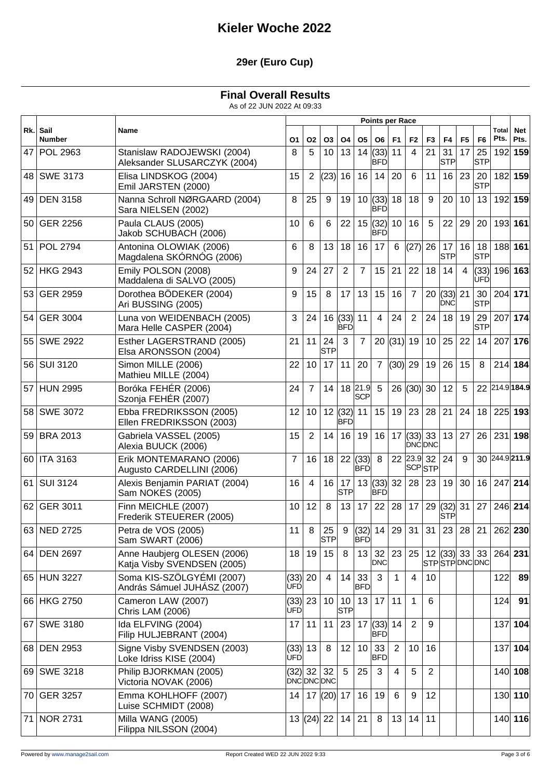### **29er (Euro Cup)**

### **Final Overall Results**

|                 |                       |                                                             |                       |                |                  |                    |                       | <b>Points per Race</b>     |                |                         |                |                                                |                |                  |                      |                    |
|-----------------|-----------------------|-------------------------------------------------------------|-----------------------|----------------|------------------|--------------------|-----------------------|----------------------------|----------------|-------------------------|----------------|------------------------------------------------|----------------|------------------|----------------------|--------------------|
| Rk.l            | Sail<br><b>Number</b> | Name                                                        | O1                    | <b>O2</b>      | O3               | <b>O4</b>          | 05                    | O6                         | F <sub>1</sub> | F <sub>2</sub>          | F <sub>3</sub> | F <sub>4</sub>                                 | F <sub>5</sub> | F <sub>6</sub>   | <b>Total</b><br>Pts. | <b>Net</b><br>Pts. |
| 47              | <b>POL 2963</b>       | Stanislaw RADOJEWSKI (2004)<br>Aleksander SLUSARCZYK (2004) | 8                     | 5              | 10               | 13                 | 14                    | (33)<br><b>BFD</b>         | 11             | 4                       | 21             | 31<br><b>STP</b>                               | 17             | 25<br><b>STP</b> |                      | 192 159            |
| 48 I            | <b>SWE 3173</b>       | Elisa LINDSKOG (2004)<br>Emil JARSTEN (2000)                | 15                    | 2              | (23)             | 16                 | 16                    | 14                         | 20             | 6                       | 11             | 16                                             | 23             | 20<br><b>STP</b> |                      | 182 159            |
| 49              | <b>DEN 3158</b>       | Nanna Schroll NØRGAARD (2004)<br>Sara NIELSEN (2002)        | 8                     | 25             | 9                | 19                 |                       | 10  (33) <br><b>BFD</b>    | 18             | 18                      | 9              | 20                                             | 10             | 13               |                      | 192 159            |
| 50.             | <b>GER 2256</b>       | Paula CLAUS (2005)<br>Jakob SCHUBACH (2006)                 | 10                    | 6              | 6                | 22                 | 15                    | (32)<br>IBFD               | 10             | 16                      | 5              | 22                                             | 29             | 20               |                      | 193 161            |
| 51              | <b>POL 2794</b>       | Antonina OLOWIAK (2006)<br>Magdalena SKÓRNÓG (2006)         | 6                     | 8              | 13               | 18                 | 16                    | 17                         | 6              | $(27)$ 26               |                | 17<br><b>STP</b>                               | 16             | 18<br><b>STP</b> |                      | 188 161            |
| 52              | <b>HKG 2943</b>       | Emily POLSON (2008)<br>Maddalena di SALVO (2005)            | 9                     | 24             | 27               | 2                  | $\overline{7}$        | 15                         | 21             | 22                      | 18             | 14                                             | 4              | (33)<br>UFD      |                      | 196 163            |
| 53              | <b>GER 2959</b>       | Dorothea BÖDEKER (2004)<br>Ari BUSSING (2005)               | 9                     | 15             | 8                | 17                 | 13                    | 15                         | 16             | $\overline{7}$          | 20             | $(33)$ 21<br><b>DNC</b>                        |                | 30<br><b>STP</b> | 204 171              |                    |
| 54              | <b>GER 3004</b>       | Luna von WEIDENBACH (2005)<br>Mara Helle CASPER (2004)      | 3                     | 24             | 16               | (33)<br><b>BFD</b> | 11                    | 4                          | 24             | $\overline{2}$          | 24             | 18                                             | 19             | 29<br><b>STP</b> |                      | 207 174            |
| 55              | <b>SWE 2922</b>       | Esther LAGERSTRAND (2005)<br>Elsa ARONSSON (2004)           | 21                    | 11             | 24<br><b>STP</b> | 3                  | $\overline{7}$        |                            | 20   (31)      | 19                      | 10             | 25                                             | 22             | 14               | 207                  | 176                |
|                 | 56   SUI 3120         | Simon MILLE (2006)<br>Mathieu MILLE (2004)                  | 22                    | 10             | 17               | 11                 | 20                    | $\overline{7}$             | (30)           | 29                      | 19             | 26                                             | 15             | 8                |                      | 214 184            |
| 57              | <b>HUN 2995</b>       | Boróka FEHÉR (2006)<br>Szonja FEHÉR (2007)                  | 24                    | $\overline{7}$ | 14               |                    | 18 21.9<br><b>SCP</b> | 5                          |                | 26  (30)  30            |                | 12                                             | 5              |                  |                      | 22 214.9 184.9     |
| 58.             | <b>SWE 3072</b>       | Ebba FREDRIKSSON (2005)<br>Ellen FREDRIKSSON (2003)         | 12                    | 10             | 12 <sub>2</sub>  | (32)<br>BFD        | 11                    | 15                         | 19             | 23                      | 28             | 21                                             | 24             | 18               |                      | $225$ 193          |
| 59 <sup>1</sup> | <b>BRA 2013</b>       | Gabriela VASSEL (2005)<br>Alexia BUUCK (2006)               | 15                    | $\overline{2}$ | 14               | 16                 | 19                    | 16                         | 17             | $(33)$ 33<br>DNC DNC    |                | 13                                             | 27             | 26               | 231                  | 198                |
| 60 I            | <b>ITA 3163</b>       | Erik MONTEMARANO (2006)<br>Augusto CARDELLINI (2006)        | 7                     | 16             | 18               | 22                 | (33)<br><b>BFD</b>    | 8                          | 22             | 23.9 <br><b>SCP</b> STP | 32             | 24                                             | 9              |                  |                      | 30 244.9 211.9     |
| 61              | <b>SUI 3124</b>       | Alexis Benjamin PARIAT (2004)<br>Sam NOKES (2005)           | 16                    | 4              | 16               | 17<br><b>STP</b>   |                       | 13  (33)  32<br><b>BFD</b> |                | 28                      | 23             | 19                                             | 30             | 16               |                      | 247 214            |
| 62              | GER 3011              | Finn MEICHLE (2007)<br>Frederik STEUERER (2005)             | 10                    | 12             | 8                | 13                 | 17                    | 22                         | 28             | 17                      | 29             | $(32)$ 31<br><b>STP</b>                        |                | 27               |                      | 246 214            |
|                 | 63 NED 2725           | Petra de VOS (2005)<br>Sam SWART (2006)                     | 11                    | 8              | 25<br><b>STP</b> |                    | <b>BFD</b>            |                            |                | $9$ (32) 14 29 31 31    |                | 23                                             | 28             |                  | 21 262 230           |                    |
|                 | 64 DEN 2697           | Anne Haubjerg OLESEN (2006)<br>Katja Visby SVENDSEN (2005)  | 18                    | 19             | 15               | 8                  | 13                    | 32 <br><b>DNC</b>          | 23             |                         |                | $25 \mid 12 \mid (33) \mid 33$<br>STPSTPDNCDNC |                | 33               |                      | 264 231            |
|                 | 65 HUN 3227           | Soma KIS-SZÖLGYÉMI (2007)<br>András Sámuel JUHÁSZ (2007)    | $(33)$ 20<br>ÙFD      |                | 4                | 14                 | 33<br><b>BFD</b>      | 3                          | $\mathbf{1}$   | $\overline{4}$          | 10             |                                                |                |                  | 122                  | 89                 |
|                 | 66 HKG 2750           | Cameron LAW (2007)<br>Chris LAM (2006)                      | $(33)$ 23<br>UFD      |                | 10 <sup>°</sup>  | 10<br><b>STP</b>   | 13                    |                            | 17 11          | $\mathbf 1$             | 6              |                                                |                |                  | 124                  | 91                 |
| 67              | <b>SWE 3180</b>       | Ida ELFVING (2004)<br>Filip HULJEBRANT (2004)               | 17                    | 11             | 11               | 23                 |                       | $17$ (33) 14<br><b>BFD</b> |                | 2                       | 9              |                                                |                |                  |                      | 137 104            |
|                 | 68 DEN 2953           | Signe Visby SVENDSEN (2003)<br>Loke Idriss KISE (2004)      | (33) 13<br><b>UFD</b> |                | 8                | 12                 | 10                    | 33<br><b>BFD</b>           | $\overline{2}$ | 10                      | 16             |                                                |                |                  |                      | 137 104            |
|                 | 69 SWE 3218           | Philip BJORKMAN (2005)<br>Victoria NOVAK (2006)             | $(32)$ 32             |                | 32<br>DNCDNCDNC  | $5\phantom{.0}$    | 25                    | 3                          | $\overline{4}$ | 5                       | $\overline{2}$ |                                                |                |                  |                      | 140 108            |
|                 | 70 GER 3257           | Emma KOHLHOFF (2007)<br>Luise SCHMIDT (2008)                | 14                    |                | 17 $ (20) $ 17   |                    | 16                    | 19                         | 6              | 9                       | 12             |                                                |                |                  |                      | 130 110            |
|                 | 71   NOR 2731         | Milla WANG (2005)<br>Filippa NILSSON (2004)                 |                       | 13  (24)  22   |                  | 14                 | 21                    | 8                          | 13             | 14                      | 11             |                                                |                |                  |                      | 140 116            |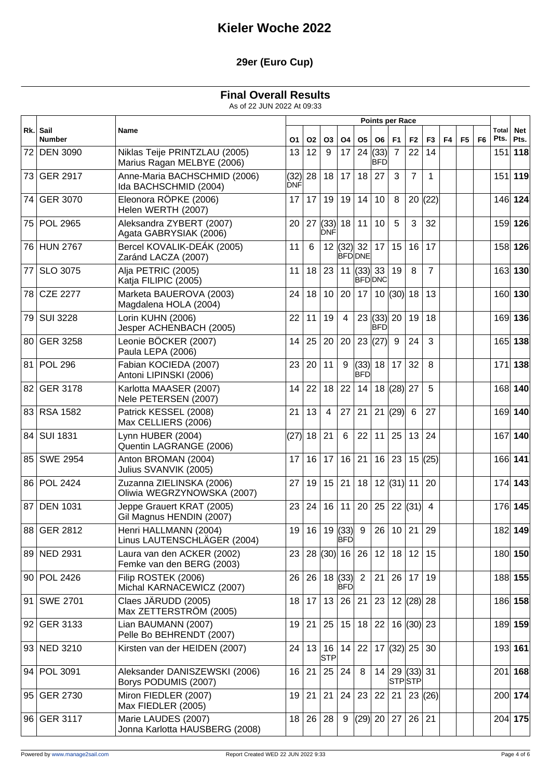### **29er (Euro Cup)**

### **Final Overall Results**

|      |                           |                                                             | <b>Points per Race</b> |    |                    |                         |                                  |                            |                |                           |                |                |                |                |               |                    |
|------|---------------------------|-------------------------------------------------------------|------------------------|----|--------------------|-------------------------|----------------------------------|----------------------------|----------------|---------------------------|----------------|----------------|----------------|----------------|---------------|--------------------|
|      | Rk. Sail<br><b>Number</b> | Name                                                        | О1                     | 02 | O3                 | <b>O4</b>               | <b>O5</b>                        | O6                         | F1             | F <sub>2</sub>            | F <sub>3</sub> | F <sub>4</sub> | F <sub>5</sub> | F <sub>6</sub> | Total<br>Pts. | <b>Net</b><br>Pts. |
| 72   | <b>DEN 3090</b>           | Niklas Teije PRINTZLAU (2005)<br>Marius Ragan MELBYE (2006) | 13                     | 12 | 9                  | 17                      | 24                               | (33)<br><b>BFD</b>         | $\overline{7}$ | 22                        | 14             |                |                |                | 151           | 118                |
|      | 73 GER 2917               | Anne-Maria BACHSCHMID (2006)<br>Ida BACHSCHMID (2004)       | (32)<br>DNF            | 28 | 18                 | 17                      | 18                               | 27                         | 3              | $\overline{7}$            | 1              |                |                |                | 151           | 119                |
|      | 74 GER 3070               | Eleonora RÖPKE (2006)<br>Helen WERTH (2007)                 | 17                     | 17 | 19                 | 19                      | 14                               | 10 <sup>°</sup>            | 8              | 20                        | (22)           |                |                |                |               | 146 124            |
|      | 75 POL 2965               | Aleksandra ZYBERT (2007)<br>Agata GABRYSIAK (2006)          | 20                     | 27 | (33)<br><b>DNF</b> | 18                      | 11                               | 10 <sup>°</sup>            | 5              | 3                         | 32             |                |                |                |               | 159 126            |
|      | 76 HUN 2767               | Bercel KOVALIK-DEÁK (2005)<br>Zaránd LACZA (2007)           | 11                     | 6  |                    | 12  (32)                | 32 <br><b>BFDDNE</b>             | 17                         | 15             | 16                        | 17             |                |                |                |               | 158 126            |
| 77   | SLO 3075                  | Alja PETRIC (2005)<br>Katja FILIPIC (2005)                  | 11                     | 18 | 23                 |                         | 11 $ (33) 33 $<br><b>BFDIDNC</b> |                            | 19             | 8                         | $\overline{7}$ |                |                |                |               | 163 130            |
|      | 78 CZE 2277               | Marketa BAUEROVA (2003)<br>Magdalena HOLA (2004)            | 24                     | 18 | 10 <sup>°</sup>    | 20                      | 17                               |                            | 10  (30)  18   |                           | 13             |                |                |                |               | 160 130            |
| 79 l | <b>SUI 3228</b>           | Lorin KUHN (2006)<br>Jesper ACHENBACH (2005)                | 22                     | 11 | 19                 | $\overline{4}$          |                                  | 23  (33)  20<br><b>BFD</b> |                | 19                        | 18             |                |                |                |               | 169 136            |
| 80 l | <b>GER 3258</b>           | Leonie BÖCKER (2007)<br>Paula LEPA (2006)                   | 14                     | 25 | 20                 | 20                      |                                  | 23  (27)                   | 9              | 24                        | 3              |                |                |                |               | 165 138            |
|      | 81   POL 296              | Fabian KOCIEDA (2007)<br>Antoni LIPINSKI (2006)             | 23                     | 20 | 11                 | 9                       | (33)<br><b>BFD</b>               | 18                         | 17             | 32                        | 8              |                |                |                | 171           | 138                |
|      | 82 GER 3178               | Karlotta MAASER (2007)<br>Nele PETERSEN (2007)              | 14                     | 22 | 18                 | 22                      | 14                               |                            | 18  (28)  27   |                           | 5              |                |                |                |               | 168 140            |
|      | 83 RSA 1582               | Patrick KESSEL (2008)<br>Max CELLIERS (2006)                | 21                     | 13 | 4                  | 27                      | 21                               | 21                         | (29)           | 6                         | 27             |                |                |                |               | 169 140            |
|      | 84 SUI 1831               | Lynn HUBER (2004)<br>Quentin LAGRANGE (2006)                | (27)                   | 18 | 21                 | 6                       | 22                               | 11                         | 25             | 13                        | 24             |                |                |                | 167           | 140                |
|      | 85 SWE 2954               | Anton BROMAN (2004)<br>Julius SVANVIK (2005)                | 17                     | 16 | 17                 | 16                      | 21                               |                            | 16 23          | 15                        | (25)           |                |                |                |               | 166 141            |
|      | 86 POL 2424               | Zuzanna ZIELINSKA (2006)<br>Oliwia WEGRZYNOWSKA (2007)      | 27                     | 19 | 15                 | 21                      | 18                               |                            | 12  (31)  11   |                           | 20             |                |                |                |               | 174 143            |
| 87   | <b>DEN 1031</b>           | Jeppe Grauert KRAT (2005)<br>Gil Magnus HENDIN (2007)       | 23                     | 24 | 16                 | 11                      | 20                               | 25                         |                | 22   (31)                 | $\overline{4}$ |                |                |                |               | 176 145            |
|      | 88 GER 2812               | Henri HALLMANN (2004)<br>Linus LAUTENSCHLÄGER (2004)        | 19                     | 16 |                    | 19(33)9<br>BFD          |                                  |                            |                | 26 10 21 29               |                |                |                |                |               | 182 149            |
|      | 89 NED 2931               | Laura van den ACKER (2002)<br>Femke van den BERG (2003)     | 23                     |    | 28  (30)           | 16                      | 26                               | 12                         | 18             | 12                        | 15             |                |                |                |               | 180 150            |
|      | 90 POL 2426               | Filip ROSTEK (2006)<br>Michal KARNACEWICZ (2007)            | 26                     | 26 |                    | 18  (33) <br><b>BFD</b> | $\overline{2}$                   | 21                         | 26             | 17                        | 19             |                |                |                |               | 188 155            |
|      | 91 SWE 2701               | Claes JÄRUDD (2005)<br>Max ZETTERSTRÖM (2005)               | 18                     | 17 | 13                 | 26                      | 21                               | 23                         |                | 12  (28)  28              |                |                |                |                |               | 186 158            |
|      | 92 GER 3133               | Lian BAUMANN (2007)<br>Pelle Bo BEHRENDT (2007)             | 19                     | 21 | 25                 | 15                      | 18                               | 22                         |                | 16  (30)  23              |                |                |                |                |               | 189 159            |
|      | 93 NED 3210               | Kirsten van der HEIDEN (2007)                               | 24                     | 13 | 16<br><b>STP</b>   | 14                      | 22                               |                            |                | 17 $ (32) $ 25            | 30             |                |                |                |               | 193 161            |
|      | 94 POL 3091               | Aleksander DANISZEWSKI (2006)<br>Borys PODUMIS (2007)       | 16                     | 21 | 25                 | 24                      | 8                                |                            |                | 14 29 (33) 31<br> STP STP |                |                |                |                |               | $201$ 168          |
|      | 95 GER 2730               | Miron FIEDLER (2007)<br>Max FIEDLER (2005)                  | 19                     | 21 | 21                 | 24                      | 23                               | 22                         | 21             |                           | 23(26)         |                |                |                |               | 200 174            |
|      | 96 GER 3117               | Marie LAUDES (2007)<br>Jonna Karlotta HAUSBERG (2008)       | 18                     | 26 | 28                 | 9                       | (29)  20   27                    |                            |                | 26 21                     |                |                |                |                |               | 204 175            |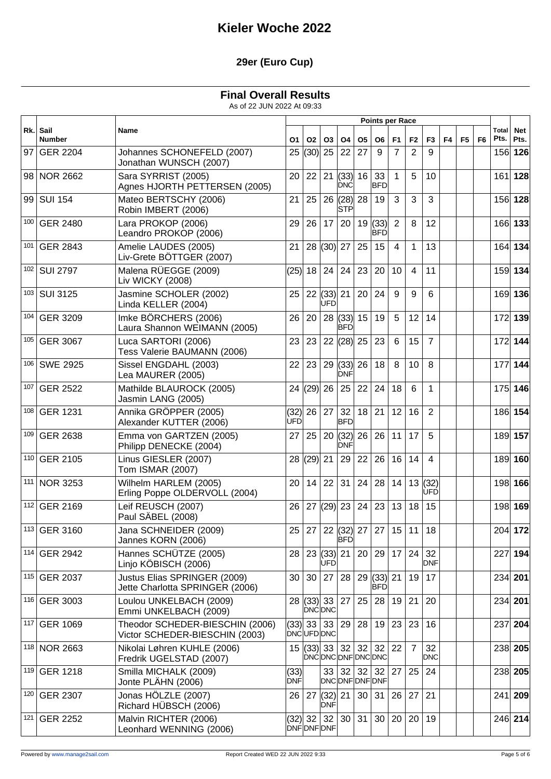### **29er (Euro Cup)**

#### **Final Overall Results**

|      |                           |                                                                   | <b>Points per Race</b> |           |                            |                                                            |                |                              |                |                |                  |    |                |                |               |                    |
|------|---------------------------|-------------------------------------------------------------------|------------------------|-----------|----------------------------|------------------------------------------------------------|----------------|------------------------------|----------------|----------------|------------------|----|----------------|----------------|---------------|--------------------|
|      | Rk. Sail<br><b>Number</b> | Name                                                              | О1                     | <b>O2</b> | <b>O3</b>                  | <b>O4</b>                                                  | O <sub>5</sub> | O6                           | F <sub>1</sub> | F2             | F <sub>3</sub>   | F4 | F <sub>5</sub> | F <sub>6</sub> | Total<br>Pts. | <b>Net</b><br>Pts. |
| 97 I | <b>GER 2204</b>           | Johannes SCHONEFELD (2007)<br>Jonathan WUNSCH (2007)              | 25                     | (30)      | 25                         | 22                                                         | 27             | 9                            | $\overline{7}$ | $\overline{2}$ | 9                |    |                |                |               | 156 126            |
|      | 98 NOR 2662               | Sara SYRRIST (2005)<br>Agnes HJORTH PETTERSEN (2005)              | 20                     | 22        |                            | 21   (33)<br><b>DNC</b>                                    | 16             | 33<br> BFD                   | $\mathbf{1}$   | 5              | 10               |    |                |                | 161           | 128                |
| 99   | <b>SUI 154</b>            | Mateo BERTSCHY (2006)<br>Robin IMBERT (2006)                      | 21                     | 25        |                            | 26  (28) <br>STP                                           | 28             | 19                           | 3              | 3              | 3                |    |                |                |               | 156 128            |
| 100  | <b>GER 2480</b>           | Lara PROKOP (2006)<br>Leandro PROKOP (2006)                       | 29                     | 26        | 17                         | 20                                                         | 19             | (33) <br>IBFD                | $\overline{2}$ | 8              | 12               |    |                |                |               | 166 133            |
| 101  | <b>GER 2843</b>           | Amelie LAUDES (2005)<br>Liv-Grete BÖTTGER (2007)                  | 21                     | 28        | (30)                       | 27                                                         | 25             | 15                           | $\overline{4}$ | 1              | 13               |    |                |                |               | 164 134            |
| 102  | <b>SUI 2797</b>           | Malena RÜEGGE (2009)<br>Liv WICKY (2008)                          | (25)                   | 18        | 24                         | 24                                                         | 23             | 20                           | 10             | 4              | 11               |    |                |                |               | 159 134            |
| 103  | <b>SUI 3125</b>           | Jasmine SCHOLER (2002)<br>Linda KELLER (2004)                     | 25                     | 22        | (33)<br>UFD                | 21                                                         | 20             | 24                           | 9              | 9              | 6                |    |                |                |               | 169 136            |
| 104  | <b>GER 3209</b>           | Imke BÖRCHERS (2006)<br>Laura Shannon WEIMANN (2005)              | 26                     | 20        |                            | 28   (33)  <br><b>BFD</b>                                  | 15             | 19                           | 5              | 12             | 14               |    |                |                |               | 172 139            |
| 105  | <b>GER 3067</b>           | Luca SARTORI (2006)<br>Tess Valerie BAUMANN (2006)                | 23                     | 23        |                            | 22  (28)                                                   | 25             | 23                           | 6              | 15             | $\overline{7}$   |    |                |                |               | 172 144            |
| 106  | <b>SWE 2925</b>           | Sissel ENGDAHL (2003)<br>Lea MAURER (2005)                        | 22                     | 23        |                            | 29   (33)<br><b>DNF</b>                                    | 26             | 18                           | 8              | 10             | 8                |    |                |                | 177           | 144                |
| 107  | <b>GER 2522</b>           | Mathilde BLAUROCK (2005)<br>Jasmin LANG (2005)                    | 24                     | (29)      | 26                         | 25                                                         | 22             | 24                           | 18             | 6              | 1                |    |                |                |               | 175 146            |
| 108  | <b>GER 1231</b>           | Annika GRÖPPER (2005)<br>Alexander KUTTER (2006)                  | (32)<br><b>ÚFD</b>     | 26        | 27                         | 32<br><b>BFD</b>                                           | 18             | 21                           | 12             | 16             | 2                |    |                |                |               | 186 154            |
| 109  | <b>GER 2638</b>           | Emma von GARTZEN (2005)<br>Philipp DENECKE (2004)                 | 27                     | 25        | 20                         | (32)<br>DNF                                                | 26             | 26                           | 11             | 17             | 5                |    |                |                |               | 189 157            |
|      | 110 GER 2105              | Linus GIESLER (2007)<br>Tom ISMAR (2007)                          | 28                     | (29)      | 21                         | 29                                                         | 22             | 26                           | 16             | 14             | 4                |    |                |                |               | 189 160            |
| 111  | <b>NOR 3253</b>           | Wilhelm HARLEM (2005)<br>Erling Poppe OLDERVOLL (2004)            | 20                     | 14        | 22                         | 31                                                         | 24             | 28                           | 14             |                | 13(32)<br>UFD    |    |                |                |               | 198 166            |
|      | 112 GER 2169              | Leif REUSCH (2007)<br>Paul SÄBEL (2008)                           | 26                     | 27        |                            | $(29)$ 23                                                  | 24             | 23                           | 13             | 18             | 15               |    |                |                |               | 198 169            |
|      | 113 GER 3160              | Jana SCHNEIDER (2009)<br>Jannes KORN (2006)                       |                        |           |                            | 25   27   22   (32)   27   27   15   11   18<br><b>BFD</b> |                |                              |                |                |                  |    |                |                |               | 204 172            |
|      | 114 GER 2942              | Hannes SCHÜTZE (2005)<br>Linjo KÖBISCH (2006)                     | 28                     |           | 23   (33)<br><b>UFD</b>    | 21                                                         | 20             | 29 17                        |                | 24 32          | <b>DNF</b>       |    |                |                | 227           | 194                |
|      | 115 GER 2037              | Justus Elias SPRINGER (2009)<br>Jette Charlotta SPRINGER (2006)   | 30                     | 30        | 27                         | 28                                                         |                | $29$ (33) 21<br>BFDI         |                |                | 19 17            |    |                |                |               | 234 201            |
|      | 116 GER 3003              | Loulou UNKELBACH (2009)<br>Emmi UNKELBACH (2009)                  |                        |           | <b>DNCDNC</b>              | 28 (33) 33 27                                              | 25             |                              | 28 19          | 21             | 20               |    |                |                |               | 234 201            |
|      | 117 GER 1069              | Theodor SCHEDER-BIESCHIN (2006)<br>Victor SCHEDER-BIESCHIN (2003) |                        | $(33)$ 33 | 33<br>DNCUFD DNC           | 29                                                         | 28             |                              | 19 23          | 23             | 16               |    |                |                |               | 237 204            |
|      | 118 NOR 2663              | Nikolai Løhren KUHLE (2006)<br>Fredrik UGELSTAD (2007)            |                        |           | $15$ (33) 33               | DNCDNCDNFDNCDNC                                            |                | $32 \mid 32 \mid 32 \mid 22$ |                | $\overline{7}$ | 32<br><b>DNC</b> |    |                |                |               | 238 205            |
|      | 119 GER 1218              | Smilla MICHALK (2009)<br>Jonte PLÄHN (2006)                       | (33)<br>DNF            |           | 33                         | 32<br>DNC DNF DNF DNF                                      |                | $32 \mid 32 \mid 27$         |                | 25             | 24               |    |                |                |               | 238 205            |
|      | 120 GER 2307              | Jonas HÖLZLE (2007)<br>Richard HÜBSCH (2006)                      | 26                     |           | $27$ (32) 21<br><b>DNF</b> |                                                            | 30             | 31                           | 26             | 27             | 21               |    |                |                |               | 241 209            |
|      | 121 GER 2252              | Malvin RICHTER (2006)<br>Leonhard WENNING (2006)                  |                        | $(32)$ 32 | 32<br><b>DNFDNFDNF</b>     | 30                                                         | 31             |                              | 30 20          | 20             | 19               |    |                |                |               | 246 214            |